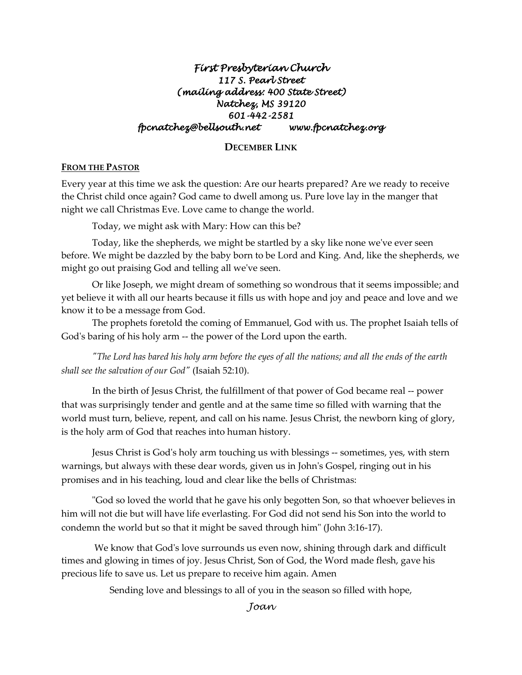# *First Presbyterian Church 117 S. Pearl Street (mailing address: 400 State Street) Natchez, MS 39120 601-442-2581 fpcnatchez@bellsouth.net www.fpcnatchez.org*

# **DECEMBER LINK**

#### **FROM THE PASTOR**

Every year at this time we ask the question: Are our hearts prepared? Are we ready to receive the Christ child once again? God came to dwell among us. Pure love lay in the manger that night we call Christmas Eve. Love came to change the world.

Today, we might ask with Mary: How can this be?

Today, like the shepherds, we might be startled by a sky like none we've ever seen before. We might be dazzled by the baby born to be Lord and King. And, like the shepherds, we might go out praising God and telling all we've seen.

Or like Joseph, we might dream of something so wondrous that it seems impossible; and yet believe it with all our hearts because it fills us with hope and joy and peace and love and we know it to be a message from God.

The prophets foretold the coming of Emmanuel, God with us. The prophet Isaiah tells of God's baring of his holy arm -- the power of the Lord upon the earth.

*"The Lord has bared his holy arm before the eyes of all the nations; and all the ends of the earth shall see the salvation of our God"* (Isaiah 52:10).

In the birth of Jesus Christ, the fulfillment of that power of God became real -- power that was surprisingly tender and gentle and at the same time so filled with warning that the world must turn, believe, repent, and call on his name. Jesus Christ, the newborn king of glory, is the holy arm of God that reaches into human history.

Jesus Christ is God's holy arm touching us with blessings -- sometimes, yes, with stern warnings, but always with these dear words, given us in John's Gospel, ringing out in his promises and in his teaching, loud and clear like the bells of Christmas:

"God so loved the world that he gave his only begotten Son, so that whoever believes in him will not die but will have life everlasting. For God did not send his Son into the world to condemn the world but so that it might be saved through him" (John 3:16-17).

We know that God's love surrounds us even now, shining through dark and difficult times and glowing in times of joy. Jesus Christ, Son of God, the Word made flesh, gave his precious life to save us. Let us prepare to receive him again. Amen

Sending love and blessings to all of you in the season so filled with hope,

*Joan*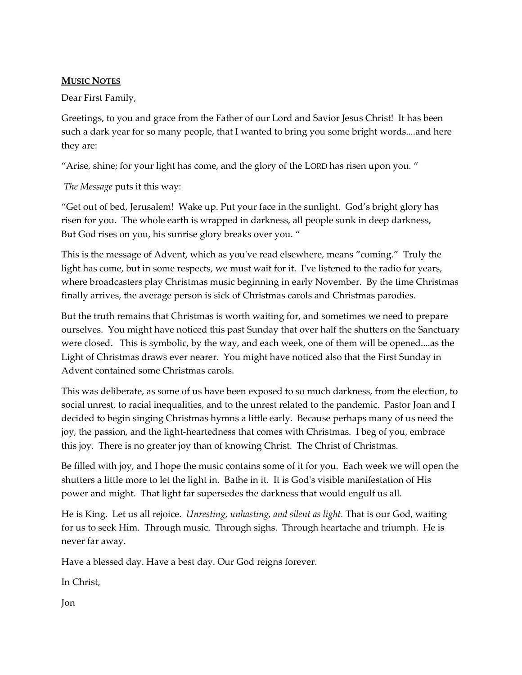### **MUSIC NOTES**

Dear First Family,

Greetings, to you and grace from the Father of our Lord and Savior Jesus Christ! It has been such a dark year for so many people, that I wanted to bring you some bright words....and here they are:

"Arise, shine; for your light has come, and the glory of the LORD has risen upon you. "

*The Message* puts it this way:

"Get out of bed, Jerusalem! Wake up. Put your face in the sunlight. God's bright glory has risen for you. The whole earth is wrapped in darkness, all people sunk in deep darkness, But God rises on you, his sunrise glory breaks over you. "

This is the message of Advent, which as you've read elsewhere, means "coming." Truly the light has come, but in some respects, we must wait for it. I've listened to the radio for years, where broadcasters play Christmas music beginning in early November. By the time Christmas finally arrives, the average person is sick of Christmas carols and Christmas parodies.

But the truth remains that Christmas is worth waiting for, and sometimes we need to prepare ourselves. You might have noticed this past Sunday that over half the shutters on the Sanctuary were closed. This is symbolic, by the way, and each week, one of them will be opened....as the Light of Christmas draws ever nearer. You might have noticed also that the First Sunday in Advent contained some Christmas carols.

This was deliberate, as some of us have been exposed to so much darkness, from the election, to social unrest, to racial inequalities, and to the unrest related to the pandemic. Pastor Joan and I decided to begin singing Christmas hymns a little early. Because perhaps many of us need the joy, the passion, and the light-heartedness that comes with Christmas. I beg of you, embrace this joy. There is no greater joy than of knowing Christ. The Christ of Christmas.

Be filled with joy, and I hope the music contains some of it for you. Each week we will open the shutters a little more to let the light in. Bathe in it. It is God's visible manifestation of His power and might. That light far supersedes the darkness that would engulf us all.

He is King. Let us all rejoice. *Unresting, unhasting, and silent as light.* That is our God, waiting for us to seek Him. Through music. Through sighs. Through heartache and triumph. He is never far away.

Have a blessed day. Have a best day. Our God reigns forever.

In Christ,

Jon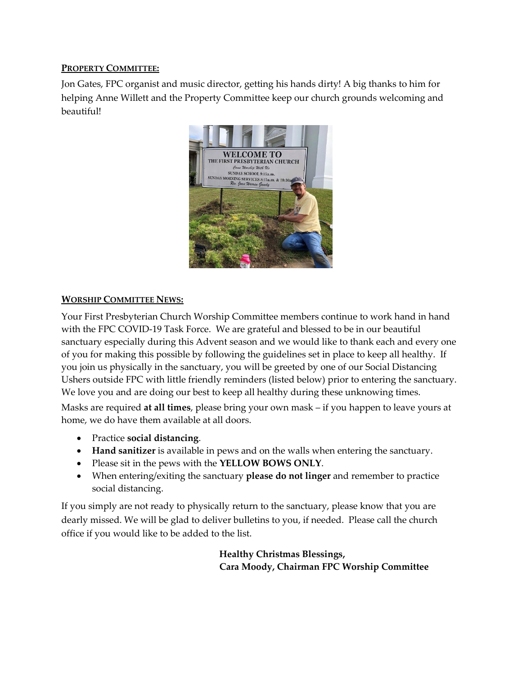# **PROPERTY COMMITTEE:**

Jon Gates, FPC organist and music director, getting his hands dirty! A big thanks to him for helping Anne Willett and the Property Committee keep our church grounds welcoming and beautiful!



### **WORSHIP COMMITTEE NEWS:**

Your First Presbyterian Church Worship Committee members continue to work hand in hand with the FPC COVID-19 Task Force. We are grateful and blessed to be in our beautiful sanctuary especially during this Advent season and we would like to thank each and every one of you for making this possible by following the guidelines set in place to keep all healthy. If you join us physically in the sanctuary, you will be greeted by one of our Social Distancing Ushers outside FPC with little friendly reminders (listed below) prior to entering the sanctuary. We love you and are doing our best to keep all healthy during these unknowing times.

Masks are required **at all times**, please bring your own mask – if you happen to leave yours at home, we do have them available at all doors.

- Practice **social distancing**.
- **Hand sanitizer** is available in pews and on the walls when entering the sanctuary.
- Please sit in the pews with the **YELLOW BOWS ONLY**.
- When entering/exiting the sanctuary **please do not linger** and remember to practice social distancing.

If you simply are not ready to physically return to the sanctuary, please know that you are dearly missed. We will be glad to deliver bulletins to you, if needed. Please call the church office if you would like to be added to the list.

> **Healthy Christmas Blessings, Cara Moody, Chairman FPC Worship Committee**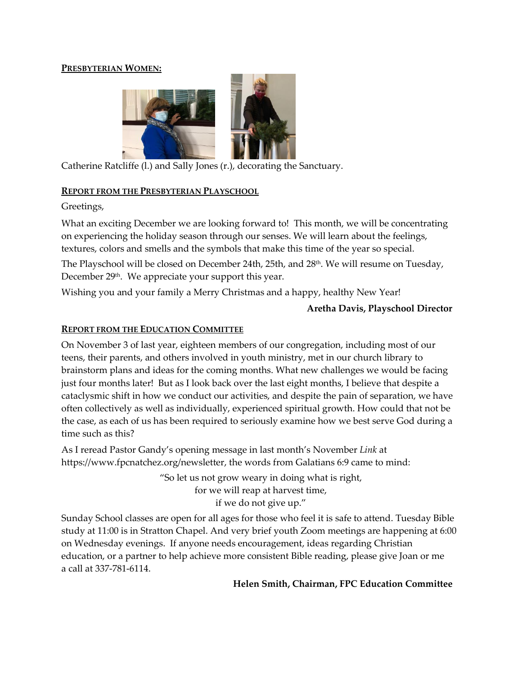#### **PRESBYTERIAN WOMEN:**



Catherine Ratcliffe (l.) and Sally Jones (r.), decorating the Sanctuary.

#### **REPORT FROM THE PRESBYTERIAN PLAYSCHOOL**

Greetings,

What an exciting December we are looking forward to! This month, we will be concentrating on experiencing the holiday season through our senses. We will learn about the feelings, textures, colors and smells and the symbols that make this time of the year so special.

The Playschool will be closed on December 24th, 25th, and 28<sup>th</sup>. We will resume on Tuesday, December 29<sup>th</sup>. We appreciate your support this year.

Wishing you and your family a Merry Christmas and a happy, healthy New Year!

### **Aretha Davis, Playschool Director**

# **REPORT FROM THE EDUCATION COMMITTEE**

On November 3 of last year, eighteen members of our congregation, including most of our teens, their parents, and others involved in youth ministry, met in our church library to brainstorm plans and ideas for the coming months. What new challenges we would be facing just four months later! But as I look back over the last eight months, I believe that despite a cataclysmic shift in how we conduct our activities, and despite the pain of separation, we have often collectively as well as individually, experienced spiritual growth. How could that not be the case, as each of us has been required to seriously examine how we best serve God during a time such as this?

As I reread Pastor Gandy's opening message in last month's November *Link* at https://www.fpcnatchez.org/newsletter, the words from Galatians 6:9 came to mind:

> "So let us not grow weary in doing what is right, for we will reap at harvest time, if we do not give up."

Sunday School classes are open for all ages for those who feel it is safe to attend. Tuesday Bible study at 11:00 is in Stratton Chapel. And very brief youth Zoom meetings are happening at 6:00 on Wednesday evenings. If anyone needs encouragement, ideas regarding Christian education, or a partner to help achieve more consistent Bible reading, please give Joan or me a call at 337-781-6114.

**Helen Smith, Chairman, FPC Education Committee**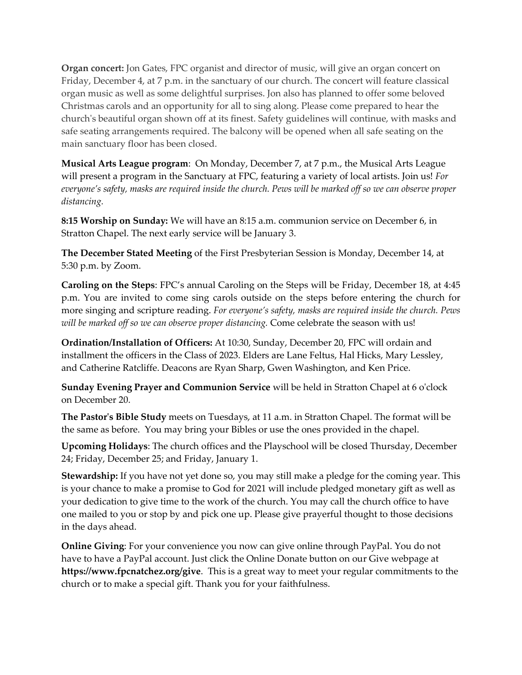**Organ concert:** Jon Gates, FPC organist and director of music, will give an organ concert on Friday, December 4, at 7 p.m. in the sanctuary of our church. The concert will feature classical organ music as well as some delightful surprises. Jon also has planned to offer some beloved Christmas carols and an opportunity for all to sing along. Please come prepared to hear the church's beautiful organ shown off at its finest. Safety guidelines will continue, with masks and safe seating arrangements required. The balcony will be opened when all safe seating on the main sanctuary floor has been closed.

**Musical Arts League program**: On Monday, December 7, at 7 p.m., the Musical Arts League will present a program in the Sanctuary at FPC, featuring a variety of local artists. Join us! *For everyone's safety, masks are required inside the church. Pews will be marked off so we can observe proper distancing.*

**8:15 Worship on Sunday:** We will have an 8:15 a.m. communion service on December 6, in Stratton Chapel. The next early service will be January 3.

**The December Stated Meeting** of the First Presbyterian Session is Monday, December 14, at 5:30 p.m. by Zoom.

**Caroling on the Steps**: FPC's annual Caroling on the Steps will be Friday, December 18, at 4:45 p.m. You are invited to come sing carols outside on the steps before entering the church for more singing and scripture reading. *For everyone's safety, masks are required inside the church. Pews will be marked off so we can observe proper distancing.* Come celebrate the season with us!

**Ordination/Installation of Officers:** At 10:30, Sunday, December 20, FPC will ordain and installment the officers in the Class of 2023. Elders are Lane Feltus, Hal Hicks, Mary Lessley, and Catherine Ratcliffe. Deacons are Ryan Sharp, Gwen Washington, and Ken Price.

**Sunday Evening Prayer and Communion Service** will be held in Stratton Chapel at 6 o'clock on December 20.

**The Pastor's Bible Study** meets on Tuesdays, at 11 a.m. in Stratton Chapel. The format will be the same as before. You may bring your Bibles or use the ones provided in the chapel.

**Upcoming Holidays**: The church offices and the Playschool will be closed Thursday, December 24; Friday, December 25; and Friday, January 1.

**Stewardship:** If you have not yet done so, you may still make a pledge for the coming year. This is your chance to make a promise to God for 2021 will include pledged monetary gift as well as your dedication to give time to the work of the church. You may call the church office to have one mailed to you or stop by and pick one up. Please give prayerful thought to those decisions in the days ahead.

**Online Giving**: For your convenience you now can give online through PayPal. You do not have to have a PayPal account. Just click the Online Donate button on our Give webpage at **https://www.fpcnatchez.org/give**. This is a great way to meet your regular commitments to the church or to make a special gift. Thank you for your faithfulness.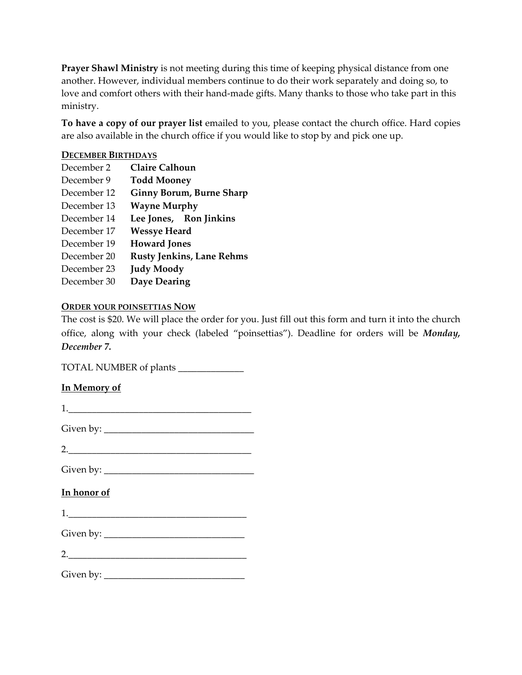**Prayer Shawl Ministry** is not meeting during this time of keeping physical distance from one another. However, individual members continue to do their work separately and doing so, to love and comfort others with their hand-made gifts. Many thanks to those who take part in this ministry.

**To have a copy of our prayer list** emailed to you, please contact the church office. Hard copies are also available in the church office if you would like to stop by and pick one up.

#### **DECEMBER BIRTHDAYS**

| <b>Claire Calhoun</b>            |
|----------------------------------|
| <b>Todd Mooney</b>               |
| <b>Ginny Borum, Burne Sharp</b>  |
| <b>Wayne Murphy</b>              |
| Lee Jones, Ron Jinkins           |
| <b>Wessye Heard</b>              |
| <b>Howard Jones</b>              |
| <b>Rusty Jenkins, Lane Rehms</b> |
| <b>Judy Moody</b>                |
| <b>Daye Dearing</b>              |
|                                  |

# **ORDER YOUR POINSETTIAS NOW**

The cost is \$20. We will place the order for you. Just fill out this form and turn it into the church office, along with your check (labeled "poinsettias"). Deadline for orders will be *Monday, December 7.*

TOTAL NUMBER of plants \_\_\_\_\_\_\_\_\_\_\_\_\_\_

# **In Memory of**

| In honor of                                                                                                     |
|-----------------------------------------------------------------------------------------------------------------|
| $\begin{tabular}{ c c c } \hline \quad \quad & \quad \quad & \quad \quad & \quad \quad \\ \hline \end{tabular}$ |
|                                                                                                                 |
| 2.                                                                                                              |
|                                                                                                                 |